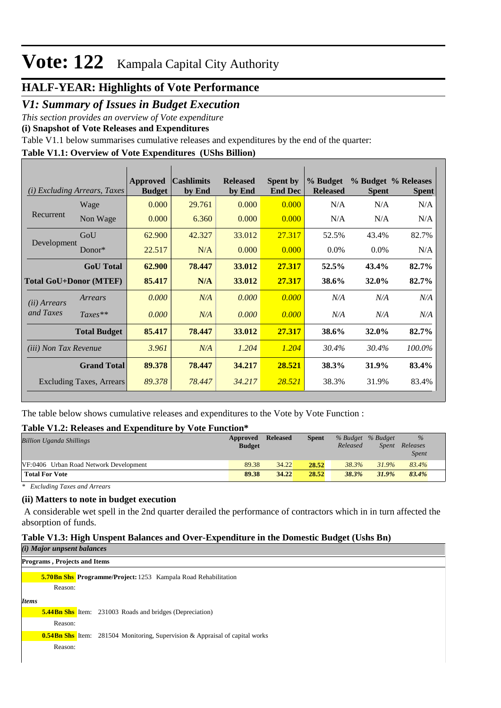# **HALF-YEAR: Highlights of Vote Performance**

### *V1: Summary of Issues in Budget Execution*

*This section provides an overview of Vote expenditure* 

**(i) Snapshot of Vote Releases and Expenditures**

Table V1.1 below summarises cumulative releases and expenditures by the end of the quarter:

# **Table V1.1: Overview of Vote Expenditures (UShs Billion)**

| (i)                           | <b>Excluding Arrears, Taxes</b> | Approved<br><b>Budget</b> | <b>Cashlimits</b><br>by End | <b>Released</b><br>by End | <b>Spent by</b><br><b>End Dec</b> | % Budget<br><b>Released</b> | <b>Spent</b> | % Budget % Releases<br><b>Spent</b> |
|-------------------------------|---------------------------------|---------------------------|-----------------------------|---------------------------|-----------------------------------|-----------------------------|--------------|-------------------------------------|
|                               | Wage                            | 0.000                     | 29.761                      | 0.000                     | 0.000                             | N/A                         | N/A          | N/A                                 |
| Recurrent                     | Non Wage                        | 0.000                     | 6.360                       | 0.000                     | 0.000                             | N/A                         | N/A          | N/A                                 |
|                               | GoU                             | 62.900                    | 42.327                      | 33.012                    | 27.317                            | 52.5%                       | 43.4%        | 82.7%                               |
| Development                   | Donor*                          | 22.517                    | N/A                         | 0.000                     | 0.000                             | $0.0\%$                     | $0.0\%$      | N/A                                 |
|                               | <b>GoU</b> Total                | 62.900                    | 78.447                      | 33.012                    | 27.317                            | 52.5%                       | 43.4%        | 82.7%                               |
| <b>Total GoU+Donor (MTEF)</b> |                                 | 85.417                    | N/A                         | 33.012                    | 27.317                            | 38.6%                       | <b>32.0%</b> | 82.7%                               |
| ( <i>ii</i> ) Arrears         | Arrears                         | 0.000                     | N/A                         | 0.000                     | 0.000                             | N/A                         | N/A          | N/A                                 |
| and Taxes                     | $Taxes**$                       | 0.000                     | N/A                         | 0.000                     | 0.000                             | N/A                         | N/A          | N/A                                 |
|                               | <b>Total Budget</b>             | 85,417                    | 78.447                      | 33.012                    | 27.317                            | 38.6%                       | 32.0%        | 82.7%                               |
| <i>(iii)</i> Non Tax Revenue  |                                 | 3.961                     | N/A                         | 1.204                     | 1.204                             | 30.4%                       | 30.4%        | 100.0%                              |
|                               | <b>Grand Total</b>              | 89.378                    | 78.447                      | 34.217                    | 28.521                            | 38.3%                       | 31.9%        | 83.4%                               |
|                               | <b>Excluding Taxes, Arrears</b> | 89.378                    | 78.447                      | 34.217                    | 28.521                            | 38.3%                       | 31.9%        | 83.4%                               |

The table below shows cumulative releases and expenditures to the Vote by Vote Function :

#### **Table V1.2: Releases and Expenditure by Vote Function\***

| <b>Billion Uganda Shillings</b>        | Approved<br><b>Budget</b> | <b>Released</b> | Spent | Released | % Budget % Budget<br>Spent | $\frac{9}{6}$<br>Releases<br><b>Spent</b> |
|----------------------------------------|---------------------------|-----------------|-------|----------|----------------------------|-------------------------------------------|
| VF:0406 Urban Road Network Development | 89.38                     | 34.22           | 28.52 | 38.3%    | 31.9%                      | 83.4%                                     |
| <b>Total For Vote</b>                  | 89.38                     | 34.22           | 28.52 | 38.3%    | 31.9%                      | 83.4%                                     |

*\* Excluding Taxes and Arrears*

#### **(ii) Matters to note in budget execution**

 A considerable wet spell in the 2nd quarter derailed the performance of contractors which in in turn affected the absorption of funds.

#### **Table V1.3: High Unspent Balances and Over-Expenditure in the Domestic Budget (Ushs Bn)**

|              | (i) Major unpsent balances   |                                                                                     |  |
|--------------|------------------------------|-------------------------------------------------------------------------------------|--|
|              | Programs, Projects and Items |                                                                                     |  |
|              |                              | <b>5.70Bn Shs Programme/Project:</b> 1253 Kampala Road Rehabilitation               |  |
|              | Reason:                      |                                                                                     |  |
| <b>Items</b> |                              |                                                                                     |  |
|              |                              | <b>5.44Bn Shs</b> Item: 231003 Roads and bridges (Depreciation)                     |  |
|              | Reason:                      |                                                                                     |  |
|              |                              | <b>0.54Bn Shs</b> Item: 281504 Monitoring, Supervision & Appraisal of capital works |  |
|              | Reason:                      |                                                                                     |  |
|              |                              |                                                                                     |  |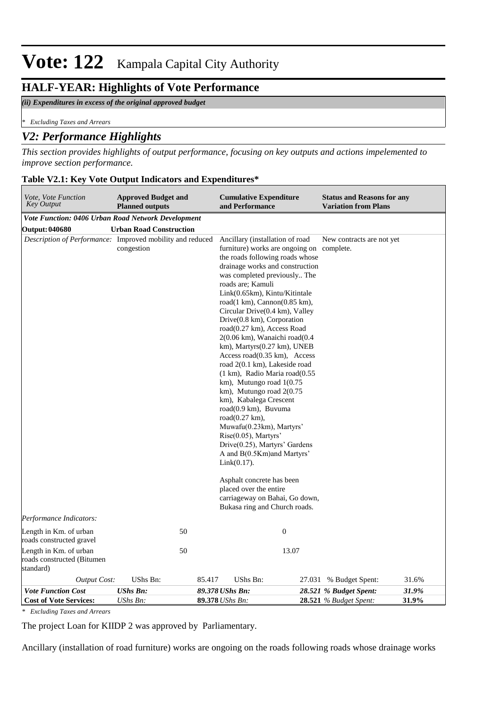### **HALF-YEAR: Highlights of Vote Performance**

#### *(ii) Expenditures in excess of the original approved budget*

*\* Excluding Taxes and Arrears*

### *V2: Performance Highlights*

*This section provides highlights of output performance, focusing on key outputs and actions impelemented to improve section performance.*

#### **Table V2.1: Key Vote Output Indicators and Expenditures\***

| Vote, Vote Function<br>Key Output                                                    | <b>Approved Budget and</b><br><b>Planned outputs</b> | <b>Cumulative Expenditure</b><br>and Performance                                                                                                                                                                                                                                                                                                                                                                                                                                                                                                                                                                                                                                                                                                                                                                                                                                                                                                                                                                                                    | <b>Status and Reasons for any</b><br><b>Variation from Plans</b>   |
|--------------------------------------------------------------------------------------|------------------------------------------------------|-----------------------------------------------------------------------------------------------------------------------------------------------------------------------------------------------------------------------------------------------------------------------------------------------------------------------------------------------------------------------------------------------------------------------------------------------------------------------------------------------------------------------------------------------------------------------------------------------------------------------------------------------------------------------------------------------------------------------------------------------------------------------------------------------------------------------------------------------------------------------------------------------------------------------------------------------------------------------------------------------------------------------------------------------------|--------------------------------------------------------------------|
| Vote Function: 0406 Urban Road Network Development                                   |                                                      |                                                                                                                                                                                                                                                                                                                                                                                                                                                                                                                                                                                                                                                                                                                                                                                                                                                                                                                                                                                                                                                     |                                                                    |
| <b>Output: 040680</b>                                                                | <b>Urban Road Construction</b>                       |                                                                                                                                                                                                                                                                                                                                                                                                                                                                                                                                                                                                                                                                                                                                                                                                                                                                                                                                                                                                                                                     |                                                                    |
| Description of Performance: Improved mobility and reduced<br>Performance Indicators: | congestion                                           | Ancillary (installation of road<br>furniture) works are ongoing on complete.<br>the roads following roads whose<br>drainage works and construction<br>was completed previously The<br>roads are; Kamuli<br>Link(0.65km), Kintu/Kitintale<br>road $(1 \text{ km})$ , Cannon $(0.85 \text{ km})$ ,<br>Circular Drive(0.4 km), Valley<br>$Dirive(0.8 \text{ km})$ , Corporation<br>road(0.27 km), Access Road<br>$2(0.06 \text{ km})$ , Wanaichi road $(0.4)$<br>$km$ ), Martyrs $(0.27 \text{ km})$ , UNEB<br>Access road $(0.35 \text{ km})$ , Access<br>road 2(0.1 km), Lakeside road<br>$(1 \text{ km})$ , Radio Maria road $(0.55)$<br>km), Mutungo road 1(0.75<br>$km$ ), Mutungo road $2(0.75)$<br>km), Kabalega Crescent<br>road(0.9 km), Buvuma<br>road $(0.27 \text{ km})$ ,<br>Muwafu(0.23km), Martyrs'<br>Rise(0.05), Martyrs'<br>Drive(0.25), Martyrs' Gardens<br>A and B(0.5Km) and Martyrs'<br>$Link(0.17)$ .<br>Asphalt concrete has been<br>placed over the entire<br>carriageway on Bahai, Go down,<br>Bukasa ring and Church roads. | New contracts are not yet                                          |
| Length in Km. of urban                                                               | 50                                                   | $\boldsymbol{0}$                                                                                                                                                                                                                                                                                                                                                                                                                                                                                                                                                                                                                                                                                                                                                                                                                                                                                                                                                                                                                                    |                                                                    |
| roads constructed gravel                                                             |                                                      |                                                                                                                                                                                                                                                                                                                                                                                                                                                                                                                                                                                                                                                                                                                                                                                                                                                                                                                                                                                                                                                     |                                                                    |
| Length in Km. of urban<br>roads constructed (Bitumen<br>standard)                    | 50                                                   | 13.07                                                                                                                                                                                                                                                                                                                                                                                                                                                                                                                                                                                                                                                                                                                                                                                                                                                                                                                                                                                                                                               |                                                                    |
| <b>Output Cost:</b>                                                                  | UShs Bn:                                             | 85.417<br>UShs Bn:                                                                                                                                                                                                                                                                                                                                                                                                                                                                                                                                                                                                                                                                                                                                                                                                                                                                                                                                                                                                                                  | 31.6%<br>27.031 % Budget Spent:                                    |
| <b>Vote Function Cost</b><br><b>Cost of Vote Services:</b>                           | <b>UShs Bn:</b><br>UShs Bn:                          | 89.378 UShs Bn:<br>89.378 UShs Bn:                                                                                                                                                                                                                                                                                                                                                                                                                                                                                                                                                                                                                                                                                                                                                                                                                                                                                                                                                                                                                  | 28.521 % Budget Spent:<br>31.9%<br>28.521 % Budget Spent:<br>31.9% |

*\* Excluding Taxes and Arrears*

The project Loan for KIIDP 2 was approved by Parliamentary.

Ancillary (installation of road furniture) works are ongoing on the roads following roads whose drainage works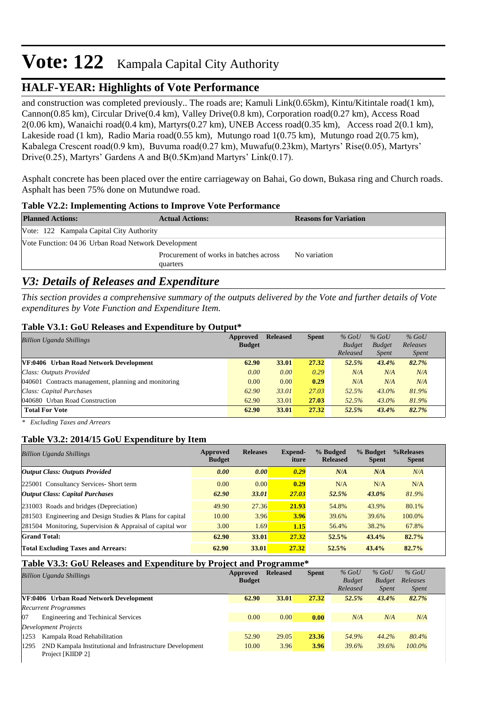## **HALF-YEAR: Highlights of Vote Performance**

and construction was completed previously.. The roads are; Kamuli Link(0.65km), Kintu/Kitintale road(1 km), Cannon(0.85 km), Circular Drive(0.4 km), Valley Drive(0.8 km), Corporation road(0.27 km), Access Road 2(0.06 km), Wanaichi road(0.4 km), Martyrs(0.27 km), UNEB Access road(0.35 km), Access road 2(0.1 km), Lakeside road (1 km), Radio Maria road(0.55 km), Mutungo road 1(0.75 km), Mutungo road 2(0.75 km), Kabalega Crescent road(0.9 km), Buvuma road(0.27 km), Muwafu(0.23km), Martyrs' Rise(0.05), Martyrs' Drive(0.25), Martyrs' Gardens A and B(0.5Km)and Martyrs' Link(0.17).

Asphalt concrete has been placed over the entire carriageway on Bahai, Go down, Bukasa ring and Church roads. Asphalt has been 75% done on Mutundwe road.

#### **Table V2.2: Implementing Actions to Improve Vote Performance**

| <b>Planned Actions:</b>                             | <b>Actual Actions:</b>                 | <b>Reasons for Variation</b> |
|-----------------------------------------------------|----------------------------------------|------------------------------|
| Vote: 122 Kampala Capital City Authority            |                                        |                              |
| Vote Function: 04 06 Urban Road Network Development |                                        |                              |
|                                                     | Procurement of works in batches across | No variation                 |
|                                                     | quarters                               |                              |

### *V3: Details of Releases and Expenditure*

*This section provides a comprehensive summary of the outputs delivered by the Vote and further details of Vote expenditures by Vote Function and Expenditure Item.*

#### **Table V3.1: GoU Releases and Expenditure by Output\***

| <b>Billion Uganda Shillings</b>                      | Approved<br><b>Budget</b> | <b>Released</b> | <b>Spent</b> | $%$ GoU<br><b>Budget</b> | $%$ GoU<br><b>Budget</b> | $%$ GoU<br>Releases |
|------------------------------------------------------|---------------------------|-----------------|--------------|--------------------------|--------------------------|---------------------|
|                                                      |                           |                 |              | Released                 | <i>Spent</i>             | <i>Spent</i>        |
| VF:0406 Urban Road Network Development               | 62.90                     | 33.01           | 27.32        | 52.5%                    | 43.4%                    | 82.7%               |
| Class: Outputs Provided                              | 0.00                      | 0.00            | 0.29         | N/A                      | N/A                      | N/A                 |
| 040601 Contracts management, planning and monitoring | 0.00                      | 0.00            | 0.29         | N/A                      | N/A                      | N/A                 |
| Class: Capital Purchases                             | 62.90                     | 33.01           | 27.03        | 52.5%                    | $43.0\%$                 | 81.9%               |
| 040680 Urban Road Construction                       | 62.90                     | 33.01           | 27.03        | 52.5%                    | 43.0%                    | 81.9%               |
| <b>Total For Vote</b>                                | 62.90                     | 33.01           | 27.32        | 52.5%                    | 43.4%                    | 82.7%               |

*\* Excluding Taxes and Arrears*

#### **Table V3.2: 2014/15 GoU Expenditure by Item**

| <b>Billion Uganda Shillings</b>                           | Approved<br><b>Budget</b> | <b>Releases</b> | <b>Expend-</b><br>iture | % Budged<br><b>Released</b> | % Budget<br><b>Spent</b> | %Releases<br><b>Spent</b> |
|-----------------------------------------------------------|---------------------------|-----------------|-------------------------|-----------------------------|--------------------------|---------------------------|
| <b>Output Class: Outputs Provided</b>                     | 0.00                      | 0.00            | 0.29                    | N/A                         | N/A                      | N/A                       |
| 225001 Consultancy Services- Short term                   | 0.00                      | 0.00            | 0.29                    | N/A                         | N/A                      | N/A                       |
| <b>Output Class: Capital Purchases</b>                    | 62.90                     | 33.01           | 27.03                   | 52.5%                       | 43.0%                    | 81.9%                     |
| 231003 Roads and bridges (Depreciation)                   | 49.90                     | 27.36           | 21.93                   | 54.8%                       | 43.9%                    | 80.1%                     |
| 281503 Engineering and Design Studies & Plans for capital | 10.00                     | 3.96            | 3.96                    | 39.6%                       | 39.6%                    | 100.0%                    |
| 281504 Monitoring, Supervision & Appraisal of capital wor | 3.00                      | 1.69            | 1.15                    | 56.4%                       | 38.2%                    | 67.8%                     |
| <b>Grand Total:</b>                                       | 62.90                     | 33.01           | 27.32                   | 52.5%                       | 43.4%                    | 82.7%                     |
| <b>Total Excluding Taxes and Arrears:</b>                 | 62.90                     | 33.01           | 27.32                   | 52.5%                       | 43.4%                    | 82.7%                     |

#### **Table V3.3: GoU Releases and Expenditure by Project and Programme\***

| <b>Billion Uganda Shillings</b>                                  | Approved      | <b>Released</b> | <b>Spent</b> | $%$ GoU       | $%$ GoU       | $%$ GoU      |
|------------------------------------------------------------------|---------------|-----------------|--------------|---------------|---------------|--------------|
|                                                                  | <b>Budget</b> |                 |              | <b>Budget</b> | <b>Budget</b> | Releases     |
|                                                                  |               |                 |              | Released      | <i>Spent</i>  | <i>Spent</i> |
| VF:0406 Urban Road Network Development                           | 62.90         | 33.01           | 27.32        | 52.5%         | 43.4%         | 82.7%        |
| <b>Recurrent Programmes</b>                                      |               |                 |              |               |               |              |
| 07<br><b>Engineering and Techinical Services</b>                 | 0.00          | 0.00            | 0.00         | N/A           | N/A           | N/A          |
| Development Projects                                             |               |                 |              |               |               |              |
| Kampala Road Rehabilitation<br>1253                              | 52.90         | 29.05           | 23.36        | 54.9%         | 44.2%         | 80.4%        |
| 2ND Kampala Institutional and Infrastructure Development<br>1295 | 10.00         | 3.96            | 3.96         | 39.6%         | 39.6%         | 100.0%       |
| Project [KIIDP 2]                                                |               |                 |              |               |               |              |
|                                                                  |               |                 |              |               |               |              |